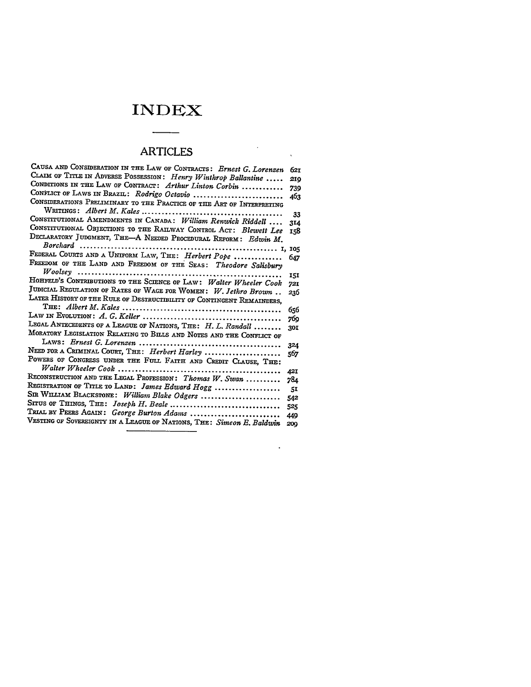## **INDEX**

## ARTICLES

 $\bullet$ 

| CAUSA AND CONSIDERATION IN THE LAW OF CONTRACTS: Ernest G. Lorenzen    | 621        |
|------------------------------------------------------------------------|------------|
| CLAIM OF TITLE IN ADVERSE POSSESSION: Henry Winthrop Ballantine        | 210        |
| CONDITIONS IN THE LAW OF CONTRACT: Arthur Linton Corbin                |            |
| CONFLICT OF LAWS IN BRAZIL: Rodrigo Octavio                            | 739        |
| CONSIDERATIONS PRELIMINARY TO THE PRACTICE OF THE ART OF INTERPRETING  | 463        |
|                                                                        |            |
| CONSTITUTIONAL AMENDMENTS IN CANADA: William Renwick Riddell           | 33         |
| CONSTITUTIONAL OBJECTIONS TO THE RAILWAY CONTROL ACT: Blewett Lee      | 314        |
| DECLARATORY JUDGMENT, THE-A NEEDED PROCEDURAL REFORM: Edwin M.         | 158        |
|                                                                        |            |
|                                                                        |            |
| FEDERAL COURTS AND A UNIFORM LAW, THE: Herbert Pope                    | 647        |
| FREEDOM OF THE LAND AND FREEDOM OF THE SEAS: Theodore Salisbury        |            |
|                                                                        | 15I        |
| HOHFELD'S CONTRIBUTIONS TO THE SCIENCE OF LAW: Walter Wheeler Cook     | 721        |
| JUDICIAL REGULATION OF RATES OF WAGE FOR WOMEN: $W.$ Jethro Brown      | 236        |
| LATER HISTORY OF THE RULE OF DESTRUCTIBILITY OF CONTINGENT REMAINDERS, |            |
|                                                                        | 656        |
|                                                                        | 769        |
| LEGAL ANTECEDENTS OF A LEAGUE OF NATIONS, THE: H. L. Randall           | 301        |
| MORATORY LEGISLATION RELATING TO BILLS AND NOTES AND THE CONFLICT OF   |            |
|                                                                        | 324        |
| NEED FOR A CRIMINAL COURT, THE: Herbert Harley                         | 567        |
| POWERS OF CONGRESS UNDER THE FULL FAITH AND CREDIT CLAUSE, THE:        |            |
|                                                                        | 42I        |
| RECONSTRUCTION AND THE LEGAL PROFESSION: Thomas $W$ . Swan             | 784        |
| REGISTRATION OF TITLE TO LAND: James Edward Hogg                       | 51         |
| SIR WILLIAM BLACKSTONE: William Blake Odgers                           | 542        |
| Situs of Things, The: $\emph{Joseph H. Beale}$ ………………………………            | 525        |
| TRIAL BY PEERS AGAIN: George Burton Adams                              |            |
| VESTING OF SOVEREIGNTY IN A LEAGUE OF NATIONS, THE: Simeon E. Baldwin  | 449<br>200 |
|                                                                        |            |